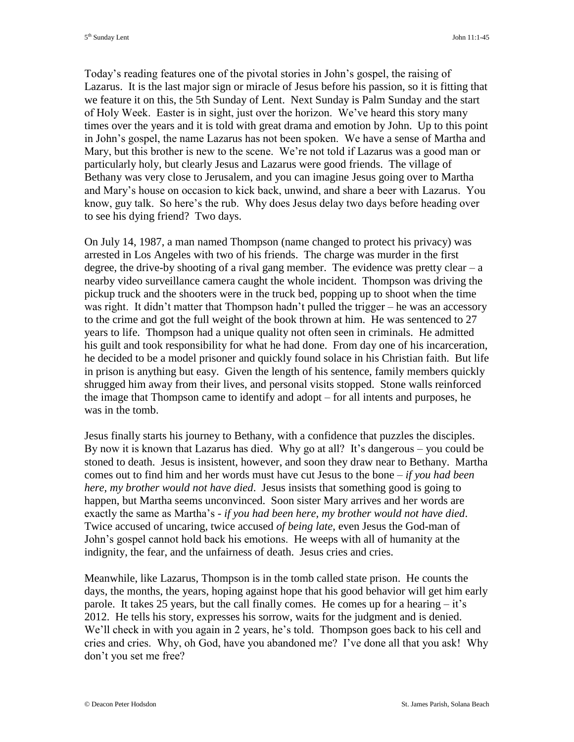Today's reading features one of the pivotal stories in John's gospel, the raising of Lazarus. It is the last major sign or miracle of Jesus before his passion, so it is fitting that we feature it on this, the 5th Sunday of Lent. Next Sunday is Palm Sunday and the start of Holy Week. Easter is in sight, just over the horizon. We've heard this story many times over the years and it is told with great drama and emotion by John. Up to this point in John's gospel, the name Lazarus has not been spoken. We have a sense of Martha and Mary, but this brother is new to the scene. We're not told if Lazarus was a good man or particularly holy, but clearly Jesus and Lazarus were good friends. The village of Bethany was very close to Jerusalem, and you can imagine Jesus going over to Martha and Mary's house on occasion to kick back, unwind, and share a beer with Lazarus. You know, guy talk. So here's the rub. Why does Jesus delay two days before heading over to see his dying friend? Two days.

On July 14, 1987, a man named Thompson (name changed to protect his privacy) was arrested in Los Angeles with two of his friends. The charge was murder in the first degree, the drive-by shooting of a rival gang member. The evidence was pretty clear  $-a$ nearby video surveillance camera caught the whole incident. Thompson was driving the pickup truck and the shooters were in the truck bed, popping up to shoot when the time was right. It didn't matter that Thompson hadn't pulled the trigger – he was an accessory to the crime and got the full weight of the book thrown at him. He was sentenced to 27 years to life. Thompson had a unique quality not often seen in criminals. He admitted his guilt and took responsibility for what he had done. From day one of his incarceration, he decided to be a model prisoner and quickly found solace in his Christian faith. But life in prison is anything but easy. Given the length of his sentence, family members quickly shrugged him away from their lives, and personal visits stopped. Stone walls reinforced the image that Thompson came to identify and adopt – for all intents and purposes, he was in the tomb.

Jesus finally starts his journey to Bethany, with a confidence that puzzles the disciples. By now it is known that Lazarus has died. Why go at all? It's dangerous – you could be stoned to death. Jesus is insistent, however, and soon they draw near to Bethany. Martha comes out to find him and her words must have cut Jesus to the bone – *if you had been here, my brother would not have died*. Jesus insists that something good is going to happen, but Martha seems unconvinced. Soon sister Mary arrives and her words are exactly the same as Martha's - *if you had been here, my brother would not have died*. Twice accused of uncaring, twice accused *of being late*, even Jesus the God-man of John's gospel cannot hold back his emotions. He weeps with all of humanity at the indignity, the fear, and the unfairness of death. Jesus cries and cries.

Meanwhile, like Lazarus, Thompson is in the tomb called state prison. He counts the days, the months, the years, hoping against hope that his good behavior will get him early parole. It takes 25 years, but the call finally comes. He comes up for a hearing  $-$  it's 2012. He tells his story, expresses his sorrow, waits for the judgment and is denied. We'll check in with you again in 2 years, he's told. Thompson goes back to his cell and cries and cries. Why, oh God, have you abandoned me? I've done all that you ask! Why don't you set me free?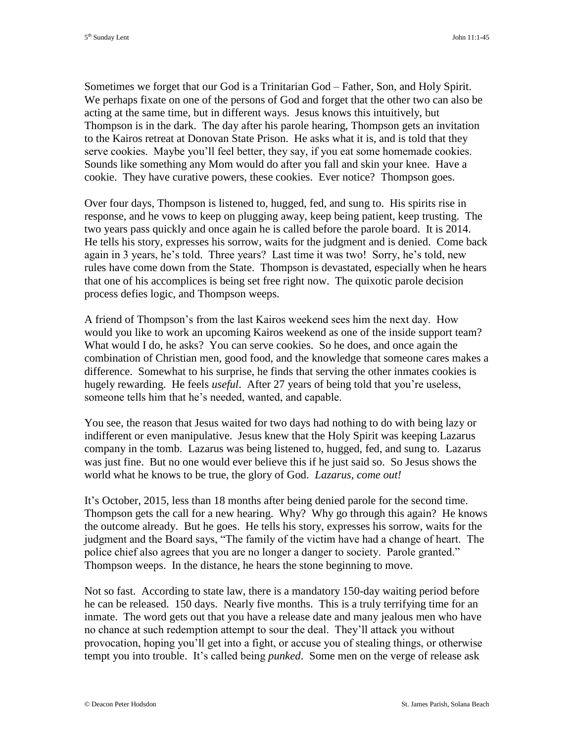Sometimes we forget that our God is a Trinitarian God – Father, Son, and Holy Spirit. We perhaps fixate on one of the persons of God and forget that the other two can also be acting at the same time, but in different ways. Jesus knows this intuitively, but Thompson is in the dark. The day after his parole hearing, Thompson gets an invitation to the Kairos retreat at Donovan State Prison. He asks what it is, and is told that they serve cookies. Maybe you'll feel better, they say, if you eat some homemade cookies. Sounds like something any Mom would do after you fall and skin your knee. Have a cookie. They have curative powers, these cookies. Ever notice? Thompson goes.

Over four days, Thompson is listened to, hugged, fed, and sung to. His spirits rise in response, and he vows to keep on plugging away, keep being patient, keep trusting. The two years pass quickly and once again he is called before the parole board. It is 2014. He tells his story, expresses his sorrow, waits for the judgment and is denied. Come back again in 3 years, he's told. Three years? Last time it was two! Sorry, he's told, new rules have come down from the State. Thompson is devastated, especially when he hears that one of his accomplices is being set free right now. The quixotic parole decision process defies logic, and Thompson weeps.

A friend of Thompson's from the last Kairos weekend sees him the next day. How would you like to work an upcoming Kairos weekend as one of the inside support team? What would I do, he asks? You can serve cookies. So he does, and once again the combination of Christian men, good food, and the knowledge that someone cares makes a difference. Somewhat to his surprise, he finds that serving the other inmates cookies is hugely rewarding. He feels *useful*. After 27 years of being told that you're useless, someone tells him that he's needed, wanted, and capable.

You see, the reason that Jesus waited for two days had nothing to do with being lazy or indifferent or even manipulative. Jesus knew that the Holy Spirit was keeping Lazarus company in the tomb. Lazarus was being listened to, hugged, fed, and sung to. Lazarus was just fine. But no one would ever believe this if he just said so. So Jesus shows the world what he knows to be true, the glory of God. *Lazarus, come out!*

It's October, 2015, less than 18 months after being denied parole for the second time. Thompson gets the call for a new hearing. Why? Why go through this again? He knows the outcome already. But he goes. He tells his story, expresses his sorrow, waits for the judgment and the Board says, "The family of the victim have had a change of heart. The police chief also agrees that you are no longer a danger to society. Parole granted." Thompson weeps. In the distance, he hears the stone beginning to move.

Not so fast. According to state law, there is a mandatory 150-day waiting period before he can be released. 150 days. Nearly five months. This is a truly terrifying time for an inmate. The word gets out that you have a release date and many jealous men who have no chance at such redemption attempt to sour the deal. They'll attack you without provocation, hoping you'll get into a fight, or accuse you of stealing things, or otherwise tempt you into trouble. It's called being *punked*. Some men on the verge of release ask